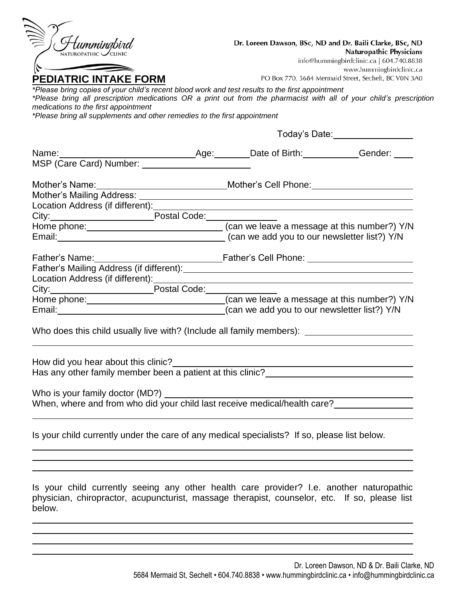| Hummingbird                                                                                                                                                                                                                    | Dr. Loreen Dawson, BSc, ND and Dr. Baili Clarke, BSc, ND                                                                                                                                                                       |
|--------------------------------------------------------------------------------------------------------------------------------------------------------------------------------------------------------------------------------|--------------------------------------------------------------------------------------------------------------------------------------------------------------------------------------------------------------------------------|
|                                                                                                                                                                                                                                | <b>Naturopathic Physicians</b>                                                                                                                                                                                                 |
|                                                                                                                                                                                                                                | info@hummingbirdclinic.ca   604.740.8838<br>www.hummingbirdclinic.ca                                                                                                                                                           |
| <b>PEDIATRIC INTAKE FORM</b>                                                                                                                                                                                                   | PO Box 770, 5684 Mermaid Street, Sechelt, BC V0N 3A0                                                                                                                                                                           |
| *Please bring copies of your child's recent blood work and test results to the first appointment                                                                                                                               |                                                                                                                                                                                                                                |
|                                                                                                                                                                                                                                | *Please bring all prescription medications OR a print out from the pharmacist with all of your child's prescription                                                                                                            |
| medications to the first appointment                                                                                                                                                                                           |                                                                                                                                                                                                                                |
| *Please bring all supplements and other remedies to the first appointment                                                                                                                                                      |                                                                                                                                                                                                                                |
|                                                                                                                                                                                                                                |                                                                                                                                                                                                                                |
|                                                                                                                                                                                                                                |                                                                                                                                                                                                                                |
|                                                                                                                                                                                                                                |                                                                                                                                                                                                                                |
|                                                                                                                                                                                                                                |                                                                                                                                                                                                                                |
|                                                                                                                                                                                                                                |                                                                                                                                                                                                                                |
|                                                                                                                                                                                                                                |                                                                                                                                                                                                                                |
| City: City: City: City: City: City: City: City: City: City: City: City: City: City: City: City: City: City: City: City: City: City: City: City: City: City: City: City: City: City: City: City: City: City: City: City: City:  |                                                                                                                                                                                                                                |
|                                                                                                                                                                                                                                |                                                                                                                                                                                                                                |
|                                                                                                                                                                                                                                | Email: Email: Email: Email: Email: Email: Email: Email: Email: Email: Email: Email: Email: Email: Email: Email: Email: Email: Email: Email: Email: Email: Email: Email: Email: Email: Email: Email: Email: Email: Email: Email |
|                                                                                                                                                                                                                                |                                                                                                                                                                                                                                |
|                                                                                                                                                                                                                                |                                                                                                                                                                                                                                |
|                                                                                                                                                                                                                                |                                                                                                                                                                                                                                |
| Location Address (if different): Manual Address (if different): Manual Address (if and all and address (if and                                                                                                                 |                                                                                                                                                                                                                                |
| City: City: City: City: City: City: City: City: City: City: City: City: City: City: City: City: City: City: City: City: City: City: City: City: City: City: City: City: City: City: City: City: City: City: City: City: City:  |                                                                                                                                                                                                                                |
|                                                                                                                                                                                                                                |                                                                                                                                                                                                                                |
| Email: Email: Email: Email: Email: Email: Email: Email: Email: Email: Email: Email: Email: Email: Email: Email: Email: Email: Email: Email: Email: Email: Email: Email: Email: Email: Email: Email: Email: Email: Email: Email |                                                                                                                                                                                                                                |
|                                                                                                                                                                                                                                |                                                                                                                                                                                                                                |
|                                                                                                                                                                                                                                | Who does this child usually live with? (Include all family members): _______________________________                                                                                                                           |
|                                                                                                                                                                                                                                |                                                                                                                                                                                                                                |
| How did you hear about this clinic?                                                                                                                                                                                            | How ald you hear about this clinic?<br>Has any other family member been a patient at this clinic?______________________                                                                                                        |
|                                                                                                                                                                                                                                |                                                                                                                                                                                                                                |
|                                                                                                                                                                                                                                |                                                                                                                                                                                                                                |
|                                                                                                                                                                                                                                |                                                                                                                                                                                                                                |
|                                                                                                                                                                                                                                |                                                                                                                                                                                                                                |
|                                                                                                                                                                                                                                |                                                                                                                                                                                                                                |
| Is your child currently under the care of any medical specialists? If so, please list below.                                                                                                                                   |                                                                                                                                                                                                                                |
|                                                                                                                                                                                                                                |                                                                                                                                                                                                                                |
|                                                                                                                                                                                                                                |                                                                                                                                                                                                                                |
|                                                                                                                                                                                                                                |                                                                                                                                                                                                                                |
|                                                                                                                                                                                                                                | Is your child currently seeing any other health care provider? I.e. another naturopathic                                                                                                                                       |

physician, chiropractor, acupuncturist, massage therapist, counselor, etc. If so, please list below.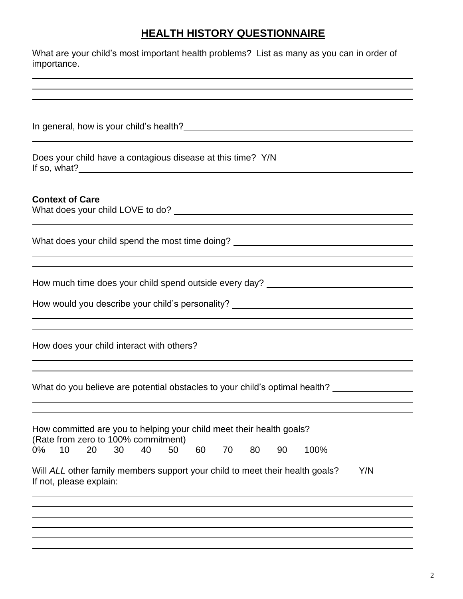# **HEALTH HISTORY QUESTIONNAIRE**

| What are your child's most important health problems? List as many as you can in order of<br>importance.                                                                           |
|------------------------------------------------------------------------------------------------------------------------------------------------------------------------------------|
|                                                                                                                                                                                    |
|                                                                                                                                                                                    |
| Does your child have a contagious disease at this time? Y/N                                                                                                                        |
| <b>Context of Care</b>                                                                                                                                                             |
| What does your child spend the most time doing? ________________________________<br>,我们也不会有什么。""我们的人,我们也不会有什么?""我们的人,我们也不会有什么?""我们的人,我们也不会有什么?""我们的人,我们也不会有什么?""我们的人               |
| How much time does your child spend outside every day? _________________________<br>How would you describe your child's personality? _______________________________               |
|                                                                                                                                                                                    |
| What do you believe are potential obstacles to your child's optimal health?                                                                                                        |
| How committed are you to helping your child meet their health goals?<br>(Rate from zero to 100% commitment)<br>10<br>20<br>30<br>40<br>50<br>$0\%$<br>60<br>70<br>80<br>90<br>100% |
| Will ALL other family members support your child to meet their health goals?<br>Y/N<br>If not, please explain:                                                                     |
|                                                                                                                                                                                    |
|                                                                                                                                                                                    |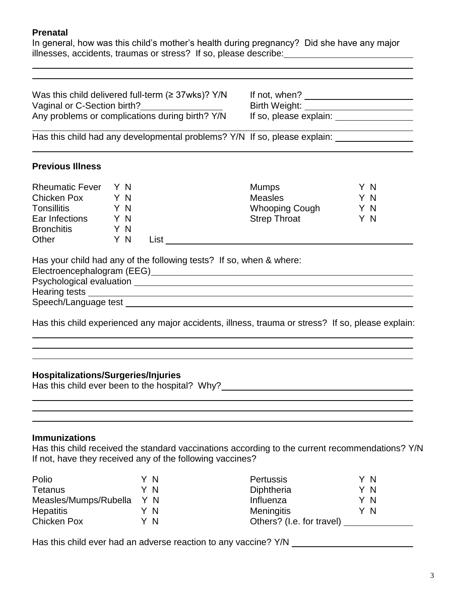#### **Prenatal**

In general, how was this child's mother's health during pregnancy? Did she have any major illnesses, accidents, traumas or stress? If so, please describe:

Was this child delivered full-term (≥ 37wks)? Y/N If not, when? Vaginal or C-Section birth? Any problems or complications during birth? Y/N

Has this child had any developmental problems? Y/N If so, please explain:

#### **Previous Illness**

| <b>Rheumatic Fever</b> | Y N |      | <b>Mumps</b>          | Y N |
|------------------------|-----|------|-----------------------|-----|
| <b>Chicken Pox</b>     | Y N |      | <b>Measles</b>        | ΥN  |
| <b>Tonsillitis</b>     | Y N |      | <b>Whooping Cough</b> | Y N |
| Ear Infections         | ΥN  |      | <b>Strep Throat</b>   | Y N |
| <b>Bronchitis</b>      | Y N |      |                       |     |
| Other                  | Y N | ∟ist |                       |     |

Has your child had any of the following tests? If so, when & where:

Electroencephalogram (EEG)

Psychological evaluation Hearing tests

Speech/Language test **Speech/Language test** 

Has this child experienced any major accidents, illness, trauma or stress? If so, please explain:

#### **Hospitalizations/Surgeries/Injuries**

Has this child ever been to the hospital? Why?\_\_\_\_\_\_\_\_\_\_\_\_\_\_\_\_\_\_\_\_\_\_\_\_\_\_\_\_\_\_\_\_\_\_

#### **Immunizations**

Has this child received the standard vaccinations according to the current recommendations? Y/N If not, have they received any of the following vaccines?

| Polio                 | Y N |     | <b>Pertussis</b>          | ΥN  |
|-----------------------|-----|-----|---------------------------|-----|
| Tetanus               | Y N |     | Diphtheria                | ΥN  |
| Measles/Mumps/Rubella | Y N |     | Influenza                 | ΥN  |
| <b>Hepatitis</b>      |     | - N | <b>Meningitis</b>         | Y N |
| Chicken Pox           | ΥN  |     | Others? (I.e. for travel) |     |

Has this child ever had an adverse reaction to any vaccine? Y/N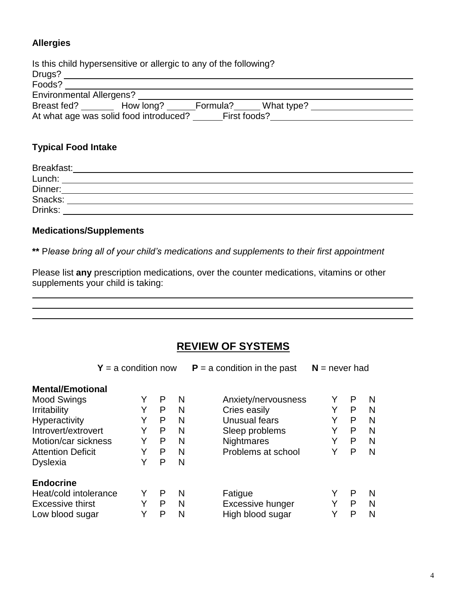## **Allergies**

|                                 | Is this child hypersensitive or allergic to any of the following? |              |            |  |
|---------------------------------|-------------------------------------------------------------------|--------------|------------|--|
| Drugs?                          |                                                                   |              |            |  |
| Foods?                          |                                                                   |              |            |  |
| <b>Environmental Allergens?</b> |                                                                   |              |            |  |
| Breast fed?                     | How long?                                                         | Formula?     | What type? |  |
|                                 | At what age was solid food introduced?                            | First foods? |            |  |

## **Typical Food Intake**

| Breakfast: |  |
|------------|--|
| Lunch:     |  |
| Dinner:    |  |
| Snacks:    |  |
| Drinks:    |  |

### **Medications/Supplements**

**\*\*** P*lease bring all of your child's medications and supplements to their first appointment*

Please list **any** prescription medications, over the counter medications, vitamins or other supplements your child is taking:

## **REVIEW OF SYSTEMS**

| $Y = a$ condition now    |   |   | $P = a$ condition in the past | $N =$ never had     |   |   |   |
|--------------------------|---|---|-------------------------------|---------------------|---|---|---|
| <b>Mental/Emotional</b>  |   |   |                               |                     |   |   |   |
| <b>Mood Swings</b>       | Υ | P | N                             | Anxiety/nervousness |   | P | N |
| <b>Irritability</b>      | Υ | P | N                             | Cries easily        | Y | P | N |
| <b>Hyperactivity</b>     | Y | P | N                             | Unusual fears       | Y | P | N |
| Introvert/extrovert      | Y | P | N                             | Sleep problems      | Y | P | N |
| Motion/car sickness      | Y | P | N                             | Nightmares          | Y | P | N |
| <b>Attention Deficit</b> | Y | P | N                             | Problems at school  | Y | P | N |
| <b>Dyslexia</b>          | Y | P | N                             |                     |   |   |   |
| <b>Endocrine</b>         |   |   |                               |                     |   |   |   |
| Heat/cold intolerance    | Y | P | N                             | Fatigue             |   | P | N |
| <b>Excessive thirst</b>  | Y | P | N                             | Excessive hunger    |   | P | N |
| Low blood sugar          | Y | P | N                             | High blood sugar    | Y | P | N |

 $\overline{a}$